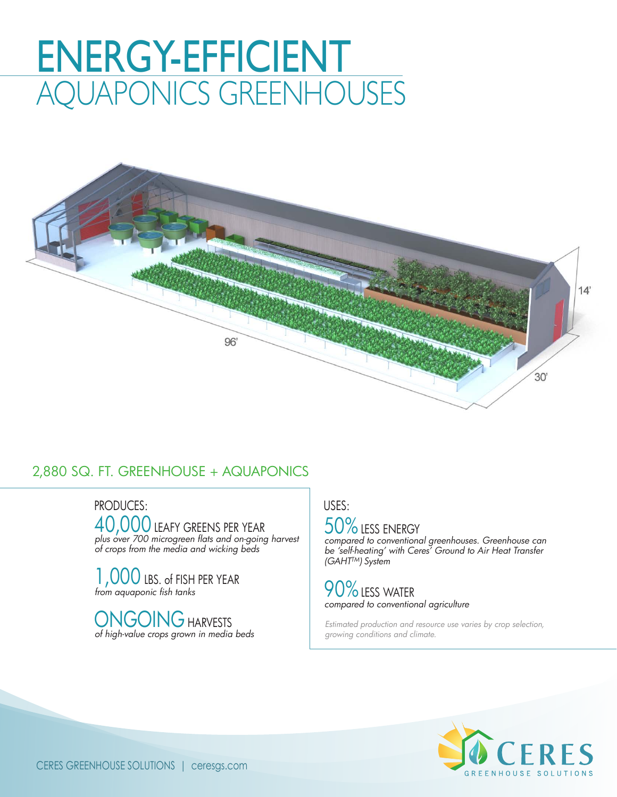# ENERGY-EFFICIENT AQUAPONICS GREENHOUSES



#### 2,880 SQ. FT. GREENHOUSE + AQUAPONICS

PRODUCES: USES: 40,000 LEAFY GREENS PER YEAR *plus over 700 microgreen flats and on-going harvest of crops from the media and wicking beds*

1, 000 LBS. of FISH PER YEAR *from aquaponic fish tanks*

ONGOING HARVESTS *of high-value crops grown in media beds*

### 50% LESS ENERGY

*compared to conventional greenhouses. Greenhouse can be 'self-heating' with Ceres' Ground to Air Heat Transfer (GAHTTM) System* 

#### 90%LESS WATER *compared to conventional agriculture*

*Estimated production and resource use varies by crop selection, growing conditions and climate.*